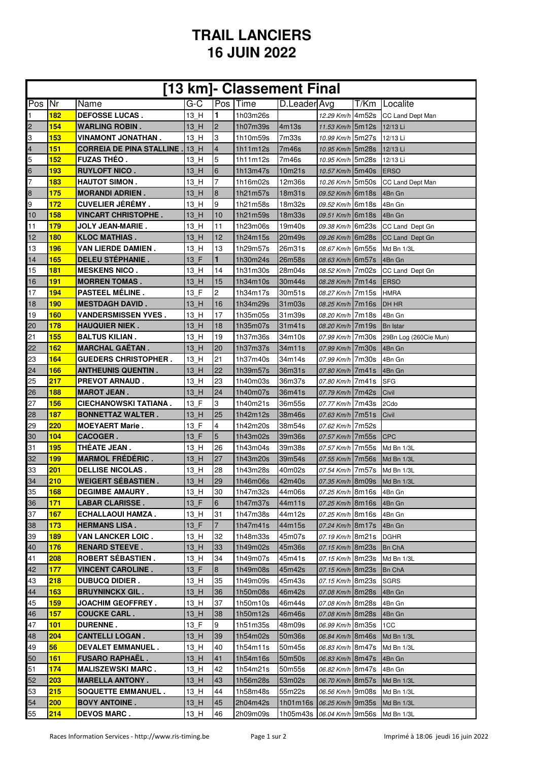## **TRAIL LANCIERS 16 JUIN 2022**

|     |            |                                                 |                                 |                | [13 km]- Classement Final |              |                             |                       |
|-----|------------|-------------------------------------------------|---------------------------------|----------------|---------------------------|--------------|-----------------------------|-----------------------|
| Pos | Nr         | Name                                            | G-C                             |                | <b>Pos Time</b>           | D.Leader Avg |                             | T/Km Localite         |
| 1   | 182        | <b>DEFOSSE LUCAS.</b>                           | 13 H                            | $\blacksquare$ | 1h03m26s                  |              | 12.29 Km/h 4m52s            | CC Land Dept Man      |
| 2   | 154        | <b>WARLING ROBIN.</b>                           | 13 H                            | $\overline{2}$ | 1h07m39s                  | 4m13s        | 11.53 Km/h 5m12s            | 12/13 Li              |
| 3   | 153        | VINAMONT JONATHAN .                             | 13 H                            | 3              | 1h10m59s                  | 7m33s        | 10.99 Km/h 5m27s            | 12/13 Li              |
| 4   | 151        | <b>CORREIA DE PINA STALLINE.</b>                | 13H                             | $\overline{4}$ | 1h11m12s                  | 7m46s        | 10.95 Km/h 5m28s            | 12/13 Li              |
| 5   | 152        | <b>FUZAS THEO.</b>                              | 13 H                            | 5              | 1h11m12s                  | 7m46s        | 10.95 Km/h 5m28s            | 12/13 Li              |
| 6   | 193        | <b>RUYLOFT NICO.</b>                            | 13 H                            | 6              | 1h13m47s                  | 10m21s       | 10.57 Km/h 5m40s            | <b>ERSO</b>           |
| 7   | 183        | <b>HAUTOT SIMON.</b>                            | 13 H                            | $\overline{7}$ | 1h16m02s                  | 12m36s       | 10.26 Km/h 5m50s            | CC Land Dept Man      |
| 8   | 175        | <b>MORANDI ADRIEN.</b>                          | 13 H                            | $\bf{8}$       | 1h21m57s                  | 18m31s       | 09.52 Km/h 6m18s            | 4Bn Gn                |
| 9   | 172        | <b>CUVELIER JÉRÉMY.</b>                         | 13 H                            | 9              | 1h21m58s                  | 18m32s       | 09.52 Km/h 6m18s            | 4Bn Gn                |
| 10  | 158        | <b>VINCART CHRISTOPHE.</b>                      | 13 H                            | 10             | 1h21m59s                  | 18m33s       | 09.51 Km/h 6m18s            | 4Bn Gn                |
| 11  | 179        | <b>JOLY JEAN-MARIE.</b>                         | 13_H                            | 11             | 1h23m06s                  | 19m40s       | 09.38 Km/h 6m23s            | CC Land Dept Gn       |
| 12  | <b>180</b> | <b>KLOC MATHIAS.</b>                            | 13 H                            | 12             | 1h24m15s                  | 20m49s       | 09.26 Km/h 6m28s            | CC Land Dept Gn       |
| 13  | 196        | VAN LIERDE DAMIEN .                             | 13 H                            | 13             | 1h29m57s                  | 26m31s       | 08.67 Km/h 6m55s            | Md Bn 1/3L            |
| 14  | 165        | <b>DELEU STEPHANIE.</b>                         | 13 F                            | 1              | 1h30m24s                  | 26m58s       | 08.63 Km/h 6m57s            | 4Bn Gn                |
| 15  | <b>181</b> | <b>MESKENS NICO.</b>                            | 13 H                            | 14             | 1h31m30s                  | 28m04s       | 08.52 Km/h 7m02s            | CC Land Dept Gn       |
| 16  | 191        | <b>MORREN TOMAS.</b>                            | 13 H                            | 15             | 1h34m10s                  | 30m44s       | 08.28 Km/h 7m14s            | <b>ERSO</b>           |
| 17  | 194        | <b>PASTEEL MÉLINE.</b>                          | 13 F                            | 2              | 1h34m17s                  | 30m51s       | 08.27 Km/h 7m15s            | <b>HMRA</b>           |
| 18  | <b>190</b> | <b>MESTDAGH DAVID.</b>                          | 13 H                            | 16             | 1h34m29s                  | 31m03s       | 08.25 Km/h 7m16s            | <b>DH HR</b>          |
| 19  | 160        | <b>VANDERSMISSEN YVES.</b>                      | 13 H                            | 17             | 1h35m05s                  | 31m39s       | 08.20 Km/h 7m18s            | 4Bn Gn                |
| 20  | 178        |                                                 |                                 | 18             |                           |              |                             |                       |
| 21  | 155        | <b>HAUQUIER NIEK .</b><br><b>BALTUS KILIAN.</b> | 13 H<br>13 H                    | 19             | 1h35m07s<br>1h37m36s      | 31m41s       | 08.20 Km/h 7m19s            | <b>Bn</b> Istar       |
|     | <b>162</b> |                                                 |                                 |                |                           | 34m10s       | 07.99 Km/h 7m30s            | 29Bn Log (260Cie Mun) |
| 22  |            | <b>MARCHAL GAETAN.</b>                          | 13 H                            | 20             | 1h37m37s                  | 34m11s       | 07.99 Km/h 7m30s            | 4Bn Gn                |
| 23  | 164        | <b>GUEDERS CHRISTOPHER.</b>                     | 13 H                            | 21             | 1h37m40s                  | 34m14s       | 07.99 Km/h 7m30s            | 4Bn Gn                |
| 24  | 166        | <b>ANTHEUNIS QUENTIN.</b>                       | 13 H                            | 22             | 1h39m57s                  | 36m31s       | 07.80 Km/h 7m41s            | 4Bn Gn                |
| 25  | 217        | <b>PREVOT ARNAUD.</b>                           | 13 H                            | 23             | 1h40m03s                  | 36m37s       | 07.80 Km/h 7m41s            | <b>SFG</b>            |
| 26  | 188        | <b>MAROT JEAN.</b>                              | 13 H                            | 24             | 1h40m07s                  | 36m41s       | 07.79 Km/h 7m42s            | Civil                 |
| 27  | 156        | CIECHANOWSKI TATIANA.                           | 13 F                            | 3              | 1h40m21s                  | 36m55s       | 07.77 Km/h 7m43s            | 2Cdo                  |
| 28  | 187        | <b>BONNETTAZ WALTER.</b>                        | 13 H                            | 25             | 1h42m12s                  | 38m46s       | 07.63 Km/h 7m51s            | Civil                 |
| 29  | 220        | <b>MOEYAERT Marie.</b>                          | 13 F                            | $\overline{4}$ | 1h42m20s                  | 38m54s       | 07.62 Km/h 7m52s            |                       |
| 30  | 104        | <b>CACOGER.</b>                                 | 13 F                            | 5              | 1h43m02s                  | 39m36s       | 07.57 Km/h 7m55s            | <b>ICPC</b>           |
| 31  | 195        | THÉATE JEAN.                                    | 13 H                            | 26             | 1h43m04s                  | 39m38s       | 07.57 Km/h 7m55s            | Md Bn 1/3L            |
| 32  | 199        | <b>MARMOL FRÉDÉRIC.</b>                         | 13 H                            | 27             | 1h43m20s                  | 39m54s       | 07.55 Km/h 7m56s            | Md Bn 1/3L            |
| 33  | 201        | <b>DELLISE NICOLAS.</b>                         | 13 H                            | 28             | 1h43m28s                  | 40m02s       | 07.54 Km/h 7m57s            | Md Bn 1/3L            |
| 34  | 210        | <b>WEIGERT SEBASTIEN.</b>                       | 13H                             | 29             | 1h46m06s                  | 42m40s       | 07.35 Km/h 8m09s Md Bn 1/3L |                       |
| 35  | 168        | <b>DEGIMBE AMAURY.</b>                          | 13 H                            | 30             | 1h47m32s                  | 44m06s       | 07.25 Km/h 8m16s            | 4Bn Gn                |
| 36  | 171        | <b>LABAR CLARISSE.</b>                          | $13$ <sub><math>F</math></sub>  | 6              | 1h47m37s                  | 44m11s       | 07.25 Km/h 8m16s            | 4Bn Gn                |
| 37  | 167        | <b>ECHALLAOUI HAMZA.</b>                        | 13 H                            | 31             | 1h47m38s                  | 44m12s       | 07.25 Km/h 8m16s            | 4Bn Gn                |
| 38  | 173        | <b>HERMANS LISA.</b>                            | 13 F                            | $\overline{7}$ | 1h47m41s                  | 44m15s       | 07.24 Km/h 8m17s            | 4Bn Gn                |
| 39  | <b>189</b> | <b>VAN LANCKER LOIC.</b>                        | 13_H                            | 32             | 1h48m33s                  | 45m07s       | 07.19 Km/h 8m21s            | <b>DGHR</b>           |
| 40  | 176        | <b>RENARD STEEVE.</b>                           | 13 H                            | 33             | 1h49m02s                  | 45m36s       | 07.15 Km/h 8m23s            | <b>Bn ChA</b>         |
| 41  | 208        | <b>ROBERT SEBASTIEN.</b>                        | 13 H                            | 34             | 1h49m07s                  | 45m41s       | 07.15 Km/h 8m23s            | Md Bn 1/3L            |
| 42  | 177        | <b>VINCENT CAROLINE.</b>                        | 13 F                            | 8              | 1h49m08s                  | 45m42s       | 07.15 Km/h 8m23s            | Bn ChA                |
| 43  | 218        | <b>DUBUCQ DIDIER.</b>                           | 13 H                            | 35             | 1h49m09s                  | 45m43s       | 07.15 Km/h 8m23s            | <b>SGRS</b>           |
| 44  | 163        | <b>BRUYNINCKX GIL.</b>                          | 13 H                            | 36             | 1h50m08s                  | 46m42s       | 07.08 Km/h 8m28s            | 4Bn Gn                |
| 45  | <b>159</b> | JOACHIM GEOFFREY.                               | $13$ H                          | 37             | 1h50m10s                  | 46m44s       | 07.08 Km/h 8m28s            | 4Bn Gn                |
| 46  | 157        | <b>COUCKE CARL.</b>                             | $13$ <sub><math>-</math>H</sub> | 38             | 1h50m12s                  | 46m46s       | 07.08 Km/h 8m28s            | 4Bn Gn                |
| 47  | 101        | <b>DURENNE.</b>                                 | 13 F                            | 9              | 1h51m35s                  | 48m09s       | 06.99 Km/h 8m35s            | 1CC                   |
| 48  | 204        | <b>CANTELLI LOGAN.</b>                          | 13 H                            | 39             | 1h54m02s                  | 50m36s       | 06.84 Km/h 8m46s            | Md Bn 1/3L            |
| 49  | 56         | <b>DEVALET EMMANUEL.</b>                        | 13 H                            | 40             | 1h54m11s                  | 50m45s       | 06.83 Km/h 8m47s            | Md Bn 1/3L            |
| 50  | 161        | <b>FUSARO RAPHAEL.</b>                          | 13 H                            | 41             | 1h54m16s                  | 50m50s       | 06.83 Km/h 8m47s            | 4Bn Gn                |
| 51  | 174        | <b>MALISZEWSKI MARC.</b>                        | 13 H                            | 42             | 1h54m21s                  | 50m55s       | 06.82 Km/h 8m47s            | 4Bn Gn                |
| 52  | 203        | <b>MARELLA ANTONY.</b>                          | 13 H                            | 43             | 1h56m28s                  | 53m02s       | 06.70 Km/h 8m57s            | Md Bn 1/3L            |
| 53  | 215        | <b>SOQUETTE EMMANUEL.</b>                       | 13 H                            | 44             | 1h58m48s                  | 55m22s       | 06.56 Km/h 9m08s            | Md Bn 1/3L            |
| 54  | 200        | <b>BOVY ANTOINE.</b>                            | 13 H                            | 45             | 2h04m42s                  | 1h01m16s     | 06.25 Km/h 9m35s            | Md Bn 1/3L            |
| 55  | 214        | <b>DEVOS MARC.</b>                              | $13$ <sup>H</sup>               | 46             | 2h09m09s                  | 1h05m43s     | 06.04 Km/h 9m56s            | Md Bn 1/3L            |